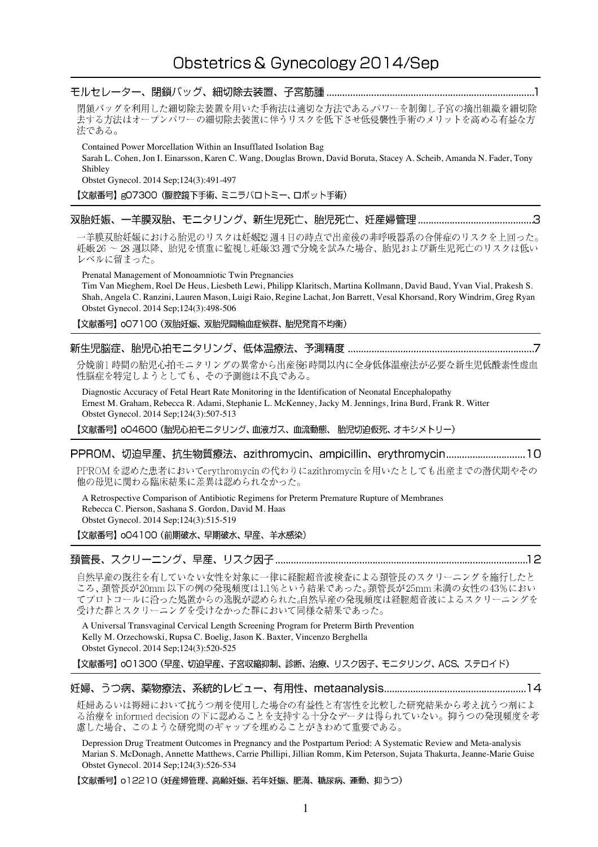# 閉鎖バッグを利用した細切除去装置を用いた手術法は適切な方法であるパワーを制御し子宮の摘出組織を細切除 去する方法はオープンパワーの細切除去装置に伴うリスクを低下させ低侵襲性手術のメリットを高める有益な方 法である。 Contained Power Morcellation Within an Insufflated Isolation Bag Sarah L. Cohen, Jon I. Einarsson, Karen C. Wang, Douglas Brown, David Boruta, Stacey A. Scheib, Amanda N. Fader, Tony Shibley Obstet Gynecol. 2014 Sep;124(3):491-497 【文献番号】gO7300 (腹腔鏡下手術、ミニラパロトミー、ロボット手術) 一羊膜双胎妊娠における胎児のリスクは妊娠32週4日の時点で出産後の非呼吸器系の合併症のリスクを上回った。 妊娠26~28 週以降、胎児を慎重に監視し妊娠33週で分娩を試みた場合、胎児および新生児死亡のリスクは低い レベルに留まった。 Prenatal Management of Monoamniotic Twin Pregnancies Tim Van Mieghem, Roel De Heus, Liesbeth Lewi, Philipp Klaritsch, Martina Kollmann, David Baud, Yvan Vial, Prakesh S. Shah, Angela C. Ranzini, Lauren Mason, Luigi Raio, Regine Lachat, Jon Barrett, Vesal Khorsand, Rory Windrim, Greg Ryan Obstet Gynecol. 2014 Sep;124(3):498-506 【文献番号】 007100 (双胎妊娠、双胎児間輸血症候群、胎児発育不均衡) 分娩前1時間の胎児心拍モニタリングの異常から出産後3時間以内に全身低体温療法が必要な新生児低酸素性虚血 性脳症を特定しようとしても、その予測能は不良である。 Diagnostic Accuracy of Fetal Heart Rate Monitoring in the Identification of Neonatal Encephalopathy Ernest M. Graham, Rebecca R. Adami, Stephanie L. McKenney, Jacky M. Jennings, Irina Burd, Frank R. Witter Obstet Gynecol. 2014 Sep;124(3):507-513 【文献番号】 oO4600 (胎児心拍モニタリング、血液ガス、血流動態、胎児切迫仮死、オキシメトリー) PPROMを認めた患者においてerythromycin の代わりにazithromycinを用いたとしても出産までの潜伏期やその 他の母児に関わる臨床結果に差異は認められなかった。 A Retrospective Comparison of Antibiotic Regimens for Preterm Premature Rupture of Membranes Rebecca C. Pierson, Sashana S. Gordon, David M. Haas Obstet Gynecol. 2014 Sep;124(3):515-519 【文献番号】 004100 (前期破水、早期破水、早産、羊水感染) 自然早産の既往を有していない女性を対象に一律に経腟超音波検査による頚管長のスクリーニングを施行したと ころ、頚管長が20mm以下の例の発現頻度は1.1%という結果であった。頚管長が25mm未満の女性の43%におい てプロトコールに沿った処置からの逸脱が認められた。自然早産の発現頻度は経腟超音波によるスクリーニングを 受けた群とスクリーニングを受けなかった群において同様な結果であった。 A Universal Transvaginal Cervical Length Screening Program for Preterm Birth Prevention Kelly M. Orzechowski, Rupsa C. Boelig, Jason K. Baxter, Vincenzo Berghella Obstet Gynecol. 2014 Sep;124(3):520-525 【文献番号】 o01300 (早産、切迫早産、子宮収縮抑制、診断、治療、リスク因子、モニタリング、ACS、ステロイド)

妊婦あるいは褥婦において抗うつ剤を使用した場合の有益性と有害性を比較した研究結果から考え抗うつ剤によ る治療を informed decision の下に認めることを支持する十分なデータは得られていない。抑うつの発現頻度を考 慮した場合、このような研究間のギャップを埋めることがきわめて重要である。

Depression Drug Treatment Outcomes in Pregnancy and the Postpartum Period: A Systematic Review and Meta-analysis Marian S. McDonagh, Annette Matthews, Carrie Phillipi, Jillian Romm, Kim Peterson, Sujata Thakurta, Jeanne-Marie Guise Obstet Gynecol. 2014 Sep;124(3):526-534

【文献番号】 o12210 (妊産婦管理、高齢妊娠、若年妊娠、肥満、糖尿病、運動、抑うつ)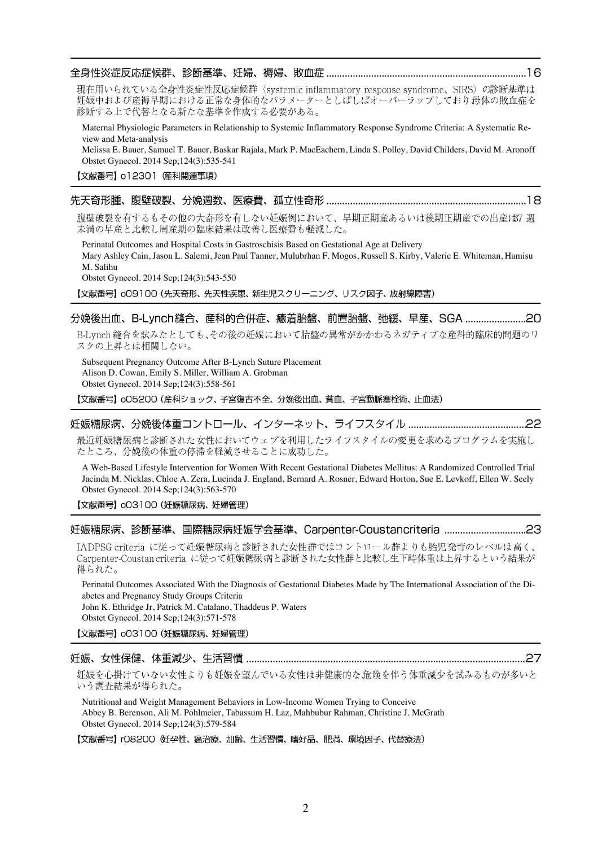# 

現在用いられている全身性炎症性反応症候群 (systemic inflammatory response syndrome、SIRS)の診断基準は 妊娠中および産褥早期における正常な身体的なパラメーターとしばしばオーバーラップしており母体の敗血症を 診断する上で代替となる新たな基準を作成する必要がある。

Maternal Physiologic Parameters in Relationship to Systemic Inflammatory Response Syndrome Criteria: A Systematic Review and Meta-analysis

Melissa E. Bauer, Samuel T. Bauer, Baskar Rajala, Mark P. MacEachern, Linda S. Polley, David Childers, David M. Aronoff Obstet Gynecol. 2014 Sep;124(3):535-541

#### 

腹壁破裂を有するもその他の大奇形を有しない妊娠例において、早期正期産あるいは後期正期産での出産は37週 未満の早産と比較し周産期の臨床結果は改善し医療費も軽減した。

Perinatal Outcomes and Hospital Costs in Gastroschisis Based on Gestational Age at Delivery Mary Ashley Cain, Jason L. Salemi, Jean Paul Tanner, Mulubrhan F. Mogos, Russell S. Kirby, Valerie E. Whiteman, Hamisu M. Salihu Obstet Gynecol. 2014 Sep;124(3):543-550

【文献番号】 oO9100 (先天奇形、先天性疾患、新生児スクリーニング、リスク因子、放射線障害)

### 

B-Lynch 縫合を試みたとしても、その後の妊娠において胎盤の異常がかかわるネガティブな産科的臨床的問題のリ スクの上昇とは相関しない。

Subsequent Pregnancy Outcome After B-Lynch Suture Placement Alison D. Cowan, Emily S. Miller, William A. Grobman Obstet Gynecol. 2014 Sep;124(3):558-561

【文献番号】 005200 (産科ショック、子宮復古不全、分娩後出血、貧血、子宮動脈塞栓術、止血法)

## 

最近妊娠糖尿病と診断された女性においてウェブを利用したライフスタイルの変更を求めるプログラムを実施し たところ、分娩後の体重の停滞を軽減させることに成功した。

A Web-Based Lifestyle Intervention for Women With Recent Gestational Diabetes Mellitus: A Randomized Controlled Trial Jacinda M. Nicklas, Chloe A. Zera, Lucinda J. England, Bernard A. Rosner, Edward Horton, Sue E. Levkoff, Ellen W. Seely Obstet Gynecol. 2014 Sep;124(3):563-570

### 【文献番号】 003100 (妊娠糖尿病、妊婦管理)

# 妊娠糖尿病、診断基準、国際糖尿病妊娠学会基準、Carpenter-Coustancriteria ................................23

IADPSG criteria に従って妊娠糖尿病と診断された女性群ではコントロール群よりも胎児発育のレベルは高く、 Carpenter-Coustan criteria に従って妊娠糖尿病と診断された女性群と比較し生下時体重は上昇するという結果が 得られた。

Perinatal Outcomes Associated With the Diagnosis of Gestational Diabetes Made by The International Association of the Diabetes and Pregnancy Study Groups Criteria

John K. Ethridge Jr, Patrick M. Catalano, Thaddeus P. Waters Obstet Gynecol. 2014 Sep;124(3):571-578

【文献番号】 003100 (妊娠糖尿病、妊婦管理)

### 

妊娠を心掛けていない女性よりも妊娠を望んでいる女性は非健康的な危険を伴う体重減少を試みるものが多いと いう調査結果が得られた。

Nutritional and Weight Management Behaviors in Low-Income Women Trying to Conceive Abbey B. Berenson, Ali M. Pohlmeier, Tabassum H. Laz, Mahbubur Rahman, Christine J. McGrath Obstet Gynecol. 2014 Sep;124(3):579-584

【文献番号】 rO8200 妊孕性、癌治療、加齢、生活習慣、嗜好品、肥満、環境因子、代替療法)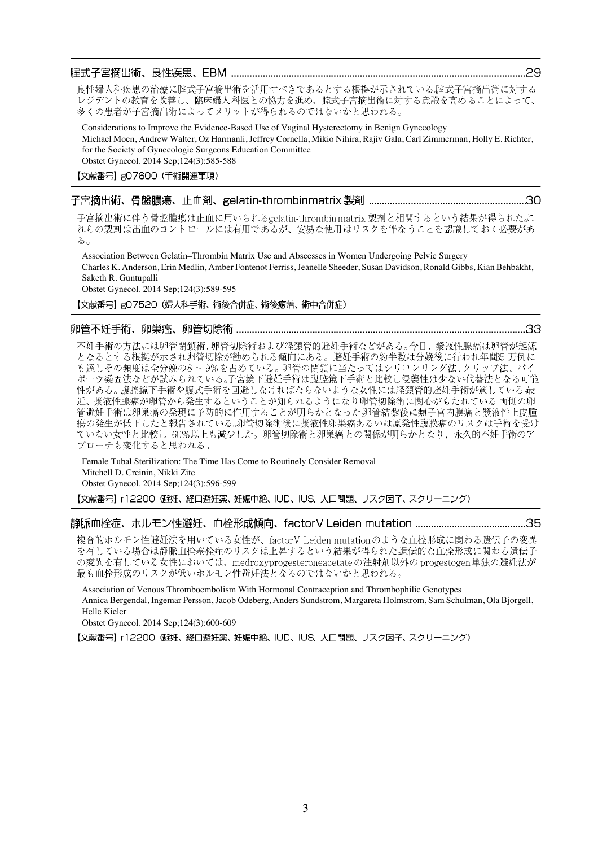## 

良性婦人科疾患の治療に腟式子宮摘出術を活用すべきであるとする根拠が示されている腟式子宮摘出術に対する レジデントの教育を改善し、臨床婦人科医との協力を進め、腟式子宮摘出術に対する意識を高めることによって、 多くの患者が子宮摘出術によってメリットが得られるのではないかと思われる。

Considerations to Improve the Evidence-Based Use of Vaginal Hysterectomy in Benign Gynecology Michael Moen, Andrew Walter, Oz Harmanli, Jeffrey Cornella, Mikio Nihira, Rajiv Gala, Carl Zimmerman, Holly E. Richter, for the Society of Gynecologic Surgeons Education Committee Obstet Gynecol. 2014 Sep;124(3):585-588

【文献番号】gO7600 (手術関連事項)

#### 子宮摘出術、骨盤膿瘍、止血剤、gelatin-thrombinmatrix 製剤 ……………………………………………………30

子宮摘出術に伴う骨盤膿瘍は止血に用いられるgelatin-thrombin matrix 製剤と相関するという結果が得られた。 れらの製剤は出血のコントロールには有用であるが、安易な使用はリスクを伴なうことを認識しておく必要があ  $\mathcal{Z}_{\Omega}$ 

Association Between Gelatin–Thrombin Matrix Use and Abscesses in Women Undergoing Pelvic Surgery Charles K. Anderson, Erin Medlin, Amber Fontenot Ferriss, Jeanelle Sheeder, Susan Davidson, Ronald Gibbs, Kian Behbakht, Saketh R. Guntupalli

33

Obstet Gynecol. 2014 Sep;124(3):589-595

### 【文献番号】gO7520 (婦人科手術、術後合併症、術後癒着、術中合併症)

#### 

不妊手術の方法には卵管閉鎖術、卵管切除術および経頚管的避妊手術などがある。今日、漿液性腺癌は卵管が起源 となるとする根拠が示され卵管切除が勧められる傾向にある。避妊手術の約半数は分娩後に行われ年間55 万例に も達しその頻度は全分娩の8~9%を占めている。卵管の閉鎖に当たってはシリコンリング法、クリップ法、バイ ポーラ凝固法などが試みられている。子宮鏡下避妊手術は腹腔鏡下手術と比較し侵襲性は少ない代替法となる可能 性がある。腹腔鏡下手術や腹式手術を回避しなければならないような女性には経頚管的避妊手術が適している最<br>近、漿液性腺癌が卵管から発生するということが知られるようになり卵管切除術に関心がもたれている両側の卵 管避妊手術は卵巣癌の発現に予防的に作用することが明らかとなった。卵管結紮後に類子宮内膜癌と漿液性上皮腫 瘍の発生が低下したと報告されている。卵管切除術後に漿液性卵巣癌あるいは原発性腹膜癌のリスクは手術を受け ていない女性と比較し 60%以上も減少した。卵管切除術と卵巣癌との関係が明らかとなり、永久的不妊手術のア プローチも変化すると思われる。

Female Tubal Sterilization: The Time Has Come to Routinely Consider Removal Mitchell D. Creinin, Nikki Zite Obstet Gynecol. 2014 Sep;124(3):596-599

【文献番号】 r12200 (避妊、経口避妊薬、妊娠中絶、IUD、IUS、人口問題、リスク因子、スクリーニング)

複合的ホルモン性避妊法を用いている女性が、factorV Leiden mutationのような血栓形成に関わる遺伝子の変異 を有している場合は静脈血栓塞栓症のリスクは上昇するという結果が得られた遺伝的な血栓形成に関わる遺伝子 の変異を有している女性においては、medroxyprogesteroneacetateの注射剤以外の progestogen単独の避妊法が 最も血栓形成のリスクが低いホルモン性避妊法となるのではないかと思われる。

Association of Venous Thromboembolism With Hormonal Contraception and Thrombophilic Genotypes Annica Bergendal, Ingemar Persson, Jacob Odeberg, Anders Sundstrom, Margareta Holmstrom, Sam Schulman, Ola Bjorgell, Helle Kieler

Obstet Gynecol. 2014 Sep;124(3):600-609

【文献番号】 r12200 (避妊、経口避妊薬、妊娠中絶、IUD、IUS、人口問題、リスク因子、スクリーニング)